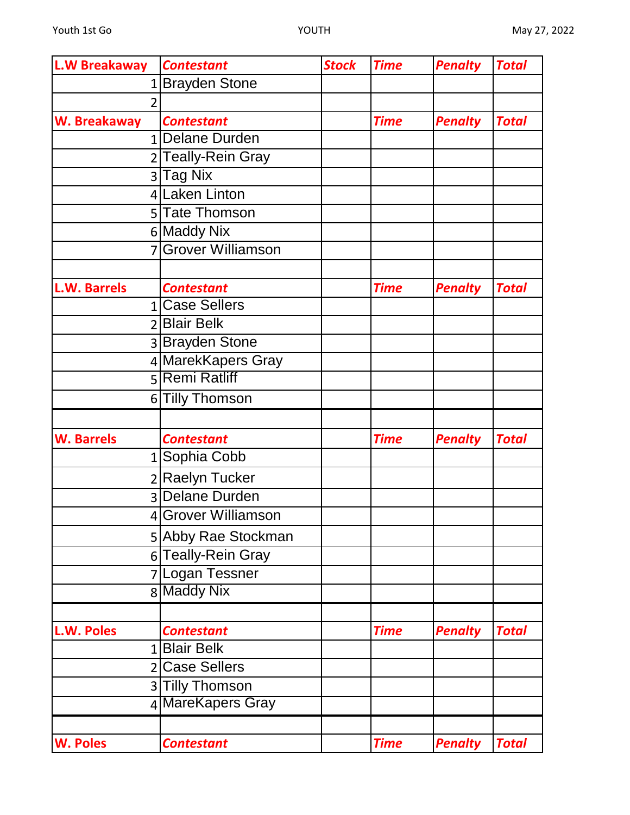| L.W Breakaway       | <b>Contestant</b>   | <b>Stock</b> | <b>Time</b> | <b>Penalty</b> | <b>Total</b> |
|---------------------|---------------------|--------------|-------------|----------------|--------------|
|                     | 1 Brayden Stone     |              |             |                |              |
| $\overline{2}$      |                     |              |             |                |              |
| W. Breakaway        | <b>Contestant</b>   |              | <b>Time</b> | <b>Penalty</b> | <b>Total</b> |
|                     | 1 Delane Durden     |              |             |                |              |
|                     | 2 Teally-Rein Gray  |              |             |                |              |
|                     | 3 Tag Nix           |              |             |                |              |
|                     | 4 Laken Linton      |              |             |                |              |
|                     | 5 Tate Thomson      |              |             |                |              |
|                     | 6 Maddy Nix         |              |             |                |              |
|                     | 7 Grover Williamson |              |             |                |              |
|                     |                     |              |             |                |              |
| <b>L.W. Barrels</b> | <b>Contestant</b>   |              | <b>Time</b> | <b>Penalty</b> | <b>Total</b> |
|                     | 1 Case Sellers      |              |             |                |              |
|                     | 2 Blair Belk        |              |             |                |              |
|                     | 3 Brayden Stone     |              |             |                |              |
|                     | 4 MarekKapers Gray  |              |             |                |              |
|                     | 5 Remi Ratliff      |              |             |                |              |
|                     | 6 Tilly Thomson     |              |             |                |              |
|                     |                     |              |             |                |              |
| <b>W. Barrels</b>   | <b>Contestant</b>   |              | <b>Time</b> | <b>Penalty</b> | <b>Total</b> |
|                     | 1 Sophia Cobb       |              |             |                |              |
|                     | 2 Raelyn Tucker     |              |             |                |              |
|                     | 3 Delane Durden     |              |             |                |              |
|                     | 4 Grover Williamson |              |             |                |              |
|                     | 5 Abby Rae Stockman |              |             |                |              |
|                     | 6 Teally-Rein Gray  |              |             |                |              |
|                     | 7 Logan Tessner     |              |             |                |              |
|                     | 8 Maddy Nix         |              |             |                |              |
|                     |                     |              |             |                |              |
| <b>L.W. Poles</b>   | <b>Contestant</b>   |              | <b>Time</b> | <b>Penalty</b> | <b>Total</b> |
|                     | 1 Blair Belk        |              |             |                |              |
|                     | 2 Case Sellers      |              |             |                |              |
|                     | 3 Tilly Thomson     |              |             |                |              |
|                     | 4 MareKapers Gray   |              |             |                |              |
|                     |                     |              |             |                |              |
| <b>W. Poles</b>     | <b>Contestant</b>   |              | <b>Time</b> | <b>Penalty</b> | <b>Total</b> |